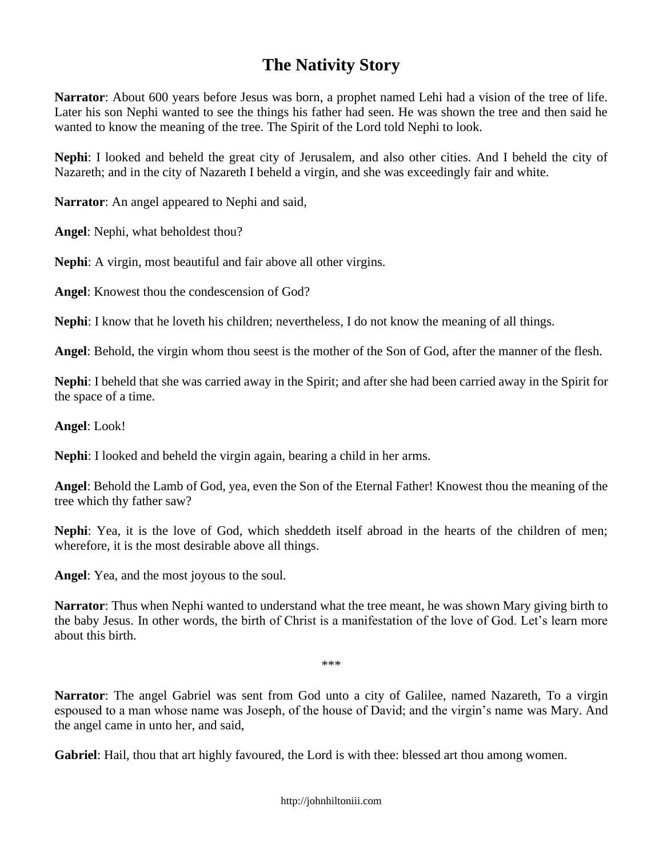## **The Nativity Story**

**Narrator**: About 600 years before Jesus was born, a prophet named Lehi had a vision of the tree of life. Later his son Nephi wanted to see the things his father had seen. He was shown the tree and then said he wanted to know the meaning of the tree. The Spirit of the Lord told Nephi to look.

**Nephi**: I looked and beheld the great city of Jerusalem, and also other cities. And I beheld the city of Nazareth; and in the city of Nazareth I beheld a virgin, and she was exceedingly fair and white.

**Narrator**: An angel appeared to Nephi and said,

**Angel**: Nephi, what beholdest thou?

**Nephi**: A virgin, most beautiful and fair above all other virgins.

**Angel**: Knowest thou the condescension of God?

**Nephi**: I know that he loveth his children; nevertheless, I do not know the meaning of all things.

**Angel**: Behold, the virgin whom thou seest is the mother of the Son of God, after the manner of the flesh.

**Nephi**: I beheld that she was carried away in the Spirit; and after she had been carried away in the Spirit for the space of a time.

**Angel**: Look!

**Nephi**: I looked and beheld the virgin again, bearing a child in her arms.

**Angel**: Behold the Lamb of God, yea, even the Son of the Eternal Father! Knowest thou the meaning of the tree which thy father saw?

**Nephi**: Yea, it is the love of God, which sheddeth itself abroad in the hearts of the children of men; wherefore, it is the most desirable above all things.

**Angel**: Yea, and the most joyous to the soul.

**Narrator**: Thus when Nephi wanted to understand what the tree meant, he was shown Mary giving birth to the baby Jesus. In other words, the birth of Christ is a manifestation of the love of God. Let's learn more about this birth.

\*\*\*

**Narrator**: The angel Gabriel was sent from God unto a city of Galilee, named Nazareth, To a virgin espoused to a man whose name was Joseph, of the house of David; and the virgin's name was Mary. And the angel came in unto her, and said,

**Gabriel**: Hail, thou that art highly favoured, the Lord is with thee: blessed art thou among women.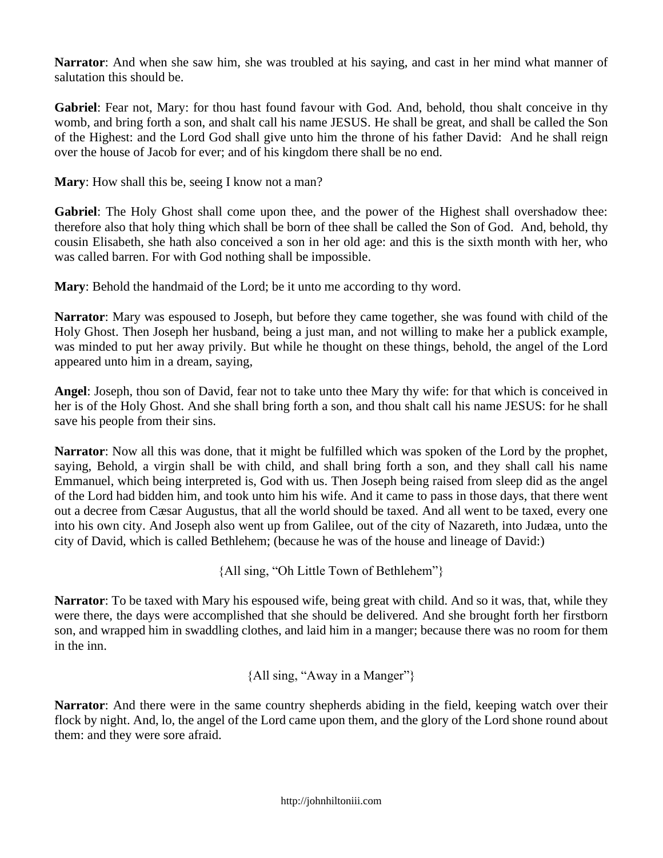**Narrator**: And when she saw him, she was troubled at his saying, and cast in her mind what manner of salutation this should be.

**Gabriel**: Fear not, Mary: for thou hast found favour with God. And, behold, thou shalt conceive in thy womb, and bring forth a son, and shalt call his name JESUS. He shall be great, and shall be called the Son of the Highest: and the Lord God shall give unto him the throne of his father David: And he shall reign over the house of Jacob for ever; and of his kingdom there shall be no end.

**Mary**: How shall this be, seeing I know not a man?

**Gabriel**: The Holy Ghost shall come upon thee, and the power of the Highest shall overshadow thee: therefore also that holy thing which shall be born of thee shall be called the Son of God. And, behold, thy cousin Elisabeth, she hath also conceived a son in her old age: and this is the sixth month with her, who was called barren. For with God nothing shall be impossible.

**Mary**: Behold the handmaid of the Lord; be it unto me according to thy word.

**Narrator**: Mary was espoused to Joseph, but before they came together, she was found with child of the Holy Ghost. Then Joseph her husband, being a just man, and not willing to make her a publick example, was minded to put her away privily. But while he thought on these things, behold, the angel of the Lord appeared unto him in a dream, saying,

**Angel**: Joseph, thou son of David, fear not to take unto thee Mary thy wife: for that which is conceived in her is of the Holy Ghost. And she shall bring forth a son, and thou shalt call his name JESUS: for he shall save his people from their sins.

**Narrator**: Now all this was done, that it might be fulfilled which was spoken of the Lord by the prophet, saying, Behold, a virgin shall be with child, and shall bring forth a son, and they shall call his name Emmanuel, which being interpreted is, God with us. Then Joseph being raised from sleep did as the angel of the Lord had bidden him, and took unto him his wife. And it came to pass in those days, that there went out a decree from Cæsar Augustus, that all the world should be taxed. And all went to be taxed, every one into his own city. And Joseph also went up from Galilee, out of the city of Nazareth, into Judæa, unto the city of David, which is called Bethlehem; (because he was of the house and lineage of David:)

{All sing, "Oh Little Town of Bethlehem"}

**Narrator**: To be taxed with Mary his espoused wife, being great with child. And so it was, that, while they were there, the days were accomplished that she should be delivered. And she brought forth her firstborn son, and wrapped him in swaddling clothes, and laid him in a manger; because there was no room for them in the inn.

{All sing, "Away in a Manger"}

**Narrator**: And there were in the same country shepherds abiding in the field, keeping watch over their flock by night. And, lo, the angel of the Lord came upon them, and the glory of the Lord shone round about them: and they were sore afraid.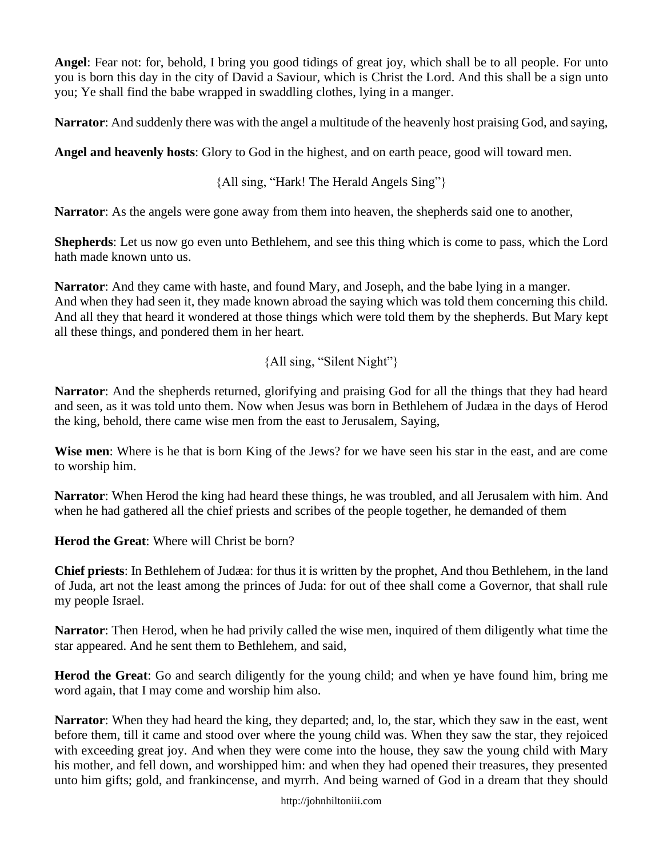**Angel**: Fear not: for, behold, I bring you good tidings of great joy, which shall be to all people. For unto you is born this day in the city of David a Saviour, which is Christ the Lord. And this shall be a sign unto you; Ye shall find the babe wrapped in swaddling clothes, lying in a manger.

**Narrator**: And suddenly there was with the angel a multitude of the heavenly host praising God, and saying,

**Angel and heavenly hosts**: Glory to God in the highest, and on earth peace, good will toward men.

{All sing, "Hark! The Herald Angels Sing"}

**Narrator**: As the angels were gone away from them into heaven, the shepherds said one to another,

**Shepherds**: Let us now go even unto Bethlehem, and see this thing which is come to pass, which the Lord hath made known unto us.

**Narrator**: And they came with haste, and found Mary, and Joseph, and the babe lying in a manger. And when they had seen it, they made known abroad the saying which was told them concerning this child. And all they that heard it wondered at those things which were told them by the shepherds. But Mary kept all these things, and pondered them in her heart.

{All sing, "Silent Night"}

**Narrator**: And the shepherds returned, glorifying and praising God for all the things that they had heard and seen, as it was told unto them. Now when Jesus was born in Bethlehem of Judæa in the days of Herod the king, behold, there came wise men from the east to Jerusalem, Saying,

**Wise men**: Where is he that is born King of the Jews? for we have seen his star in the east, and are come to worship him.

**Narrator**: When Herod the king had heard these things, he was troubled, and all Jerusalem with him. And when he had gathered all the chief priests and scribes of the people together, he demanded of them

**Herod the Great**: Where will Christ be born?

**Chief priests**: In Bethlehem of Judæa: for thus it is written by the prophet, And thou Bethlehem, in the land of Juda, art not the least among the princes of Juda: for out of thee shall come a Governor, that shall rule my people Israel.

**Narrator**: Then Herod, when he had privily called the wise men, inquired of them diligently what time the star appeared. And he sent them to Bethlehem, and said,

**Herod the Great**: Go and search diligently for the young child; and when ye have found him, bring me word again, that I may come and worship him also.

**Narrator**: When they had heard the king, they departed; and, lo, the star, which they saw in the east, went before them, till it came and stood over where the young child was. When they saw the star, they rejoiced with exceeding great joy. And when they were come into the house, they saw the young child with Mary his mother, and fell down, and worshipped him: and when they had opened their treasures, they presented unto him gifts; gold, and frankincense, and myrrh. And being warned of God in a dream that they should